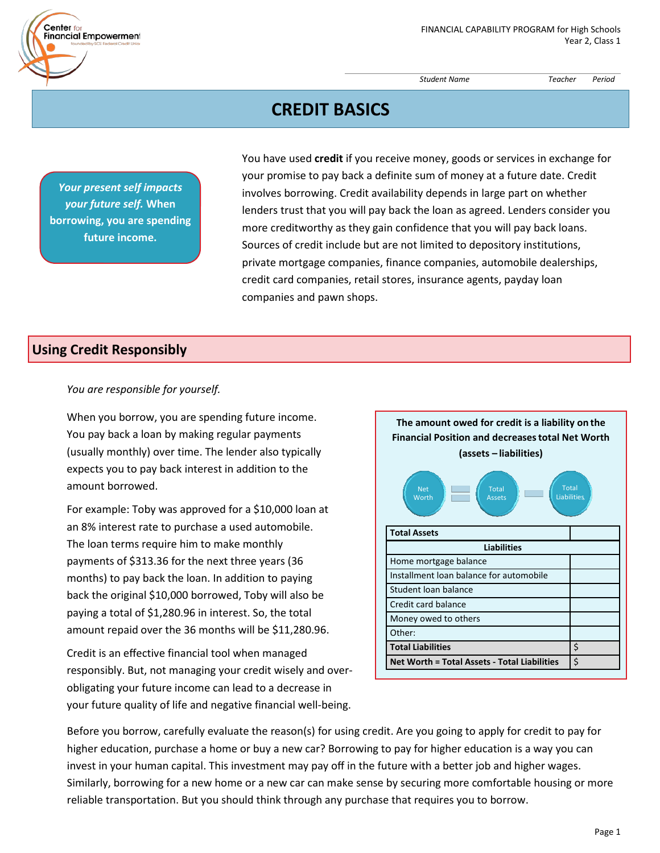*Student Name Teacher Period*

# **CREDIT BASICS**

*Your present self impacts your future self.* **When borrowing, you are spending future income.**

 $Center<sub>fo</sub>$ 

**Financial Empowerment** 

You have used **credit** if you receive money, goods or services in exchange for your promise to pay back a definite sum of money at a future date. Credit involves borrowing. Credit availability depends in large part on whether lenders trust that you will pay back the loan as agreed. Lenders consider you more creditworthy as they gain confidence that you will pay back loans. Sources of credit include but are not limited to depository institutions, private mortgage companies, finance companies, automobile dealerships, credit card companies, retail stores, insurance agents, payday loan companies and pawn shops.

## **Using Credit Responsibly**

### *You are responsible for yourself.*

When you borrow, you are spending future income. You pay back a loan by making regular payments (usually monthly) over time. The lender also typically expects you to pay back interest in addition to the amount borrowed.

For example: Toby was approved for a \$10,000 loan at an 8% interest rate to purchase a used automobile. The loan terms require him to make monthly payments of \$313.36 for the next three years (36 months) to pay back the loan. In addition to paying back the original \$10,000 borrowed, Toby will also be paying a total of \$1,280.96 in interest. So, the total amount repaid over the 36 months will be \$11,280.96.

Credit is an effective financial tool when managed responsibly. But, not managing your credit wisely and over‐ obligating your future income can lead to a decrease in your future quality of life and negative financial well‐being.



Before you borrow, carefully evaluate the reason(s) for using credit. Are you going to apply for credit to pay for higher education, purchase a home or buy a new car? Borrowing to pay for higher education is a way you can invest in your human capital. This investment may pay off in the future with a better job and higher wages. Similarly, borrowing for a new home or a new car can make sense by securing more comfortable housing or more reliable transportation. But you should think through any purchase that requires you to borrow.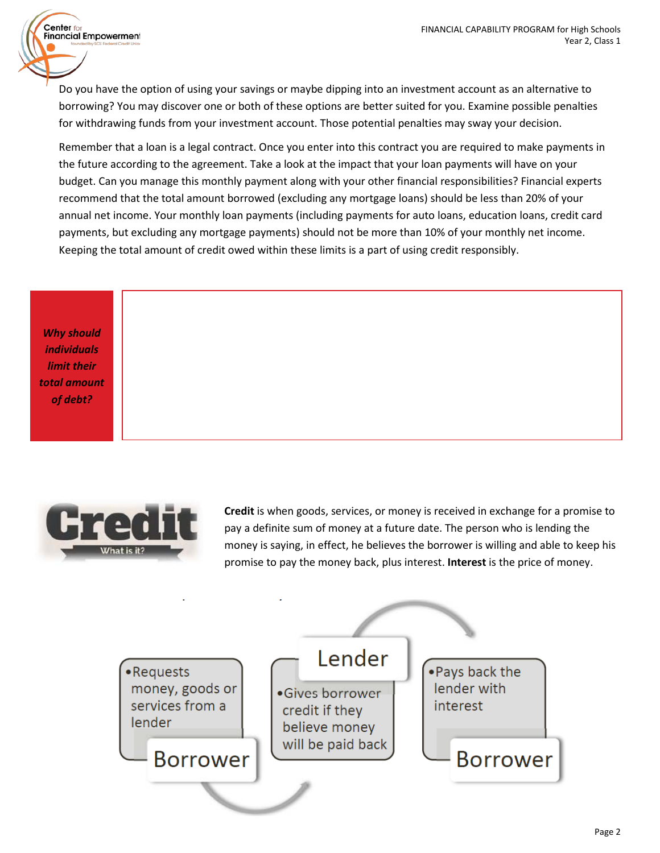Do you have the option of using your savings or maybe dipping into an investment account as an alternative to borrowing? You may discover one or both of these options are better suited for you. Examine possible penalties for withdrawing funds from your investment account. Those potential penalties may sway your decision.

Remember that a loan is a legal contract. Once you enter into this contract you are required to make payments in the future according to the agreement. Take a look at the impact that your loan payments will have on your budget. Can you manage this monthly payment along with your other financial responsibilities? Financial experts recommend that the total amount borrowed (excluding any mortgage loans) should be less than 20% of your annual net income. Your monthly loan payments (including payments for auto loans, education loans, credit card payments, but excluding any mortgage payments) should not be more than 10% of your monthly net income. Keeping the total amount of credit owed within these limits is a part of using credit responsibly.

*Why should individuals limit their total amount of debt?*

Center for

Financial Empowerment



**Credit** is when goods, services, or money is received in exchange for a promise to pay a definite sum of money at a future date. The person who is lending the money is saying, in effect, he believes the borrower is willing and able to keep his promise to pay the money back, plus interest. **Interest** is the price of money.

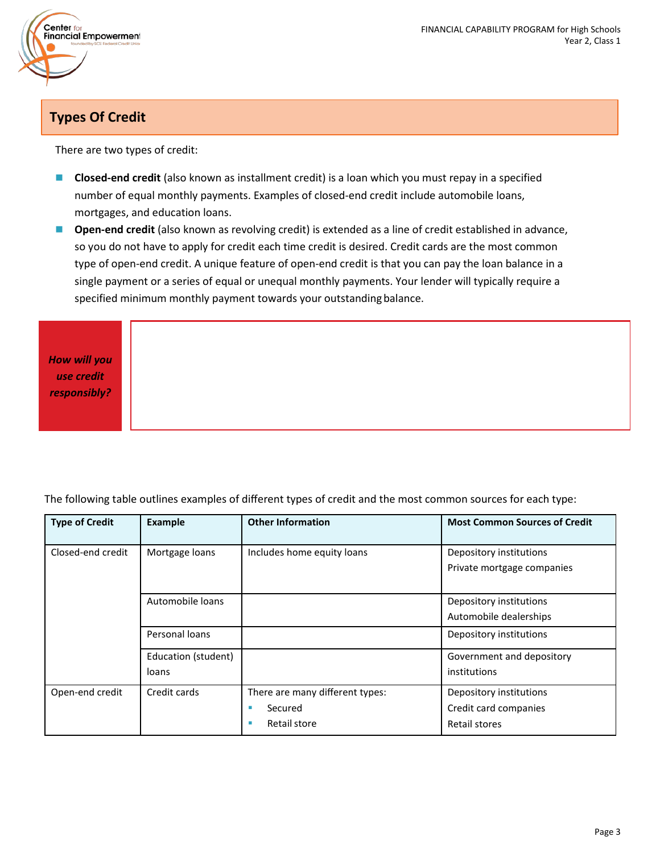

# **Types Of Credit**

There are two types of credit:

- **Closed-end credit** (also known as installment credit) is a loan which you must repay in a specified number of equal monthly payments. Examples of closed‐end credit include automobile loans, mortgages, and education loans.
- **Open-end credit** (also known as revolving credit) is extended as a line of credit established in advance, so you do not have to apply for credit each time credit is desired. Credit cards are the most common type of open‐end credit. A unique feature of open‐end credit is that you can pay the loan balance in a single payment or a series of equal or unequal monthly payments. Your lender will typically require a specified minimum monthly payment towards your outstanding balance.

*How will you use credit responsibly?*

The following table outlines examples of different types of credit and the most common sources for each type:

| <b>Type of Credit</b> | Example                      | <b>Other Information</b>                                        | <b>Most Common Sources of Credit</b>                              |
|-----------------------|------------------------------|-----------------------------------------------------------------|-------------------------------------------------------------------|
| Closed-end credit     | Mortgage loans               | Includes home equity loans                                      | Depository institutions<br>Private mortgage companies             |
|                       | Automobile loans             |                                                                 | Depository institutions<br>Automobile dealerships                 |
|                       | Personal loans               |                                                                 | Depository institutions                                           |
|                       | Education (student)<br>loans |                                                                 | Government and depository<br>institutions                         |
| Open-end credit       | Credit cards                 | There are many different types:<br>Secured<br>Retail store<br>п | Depository institutions<br>Credit card companies<br>Retail stores |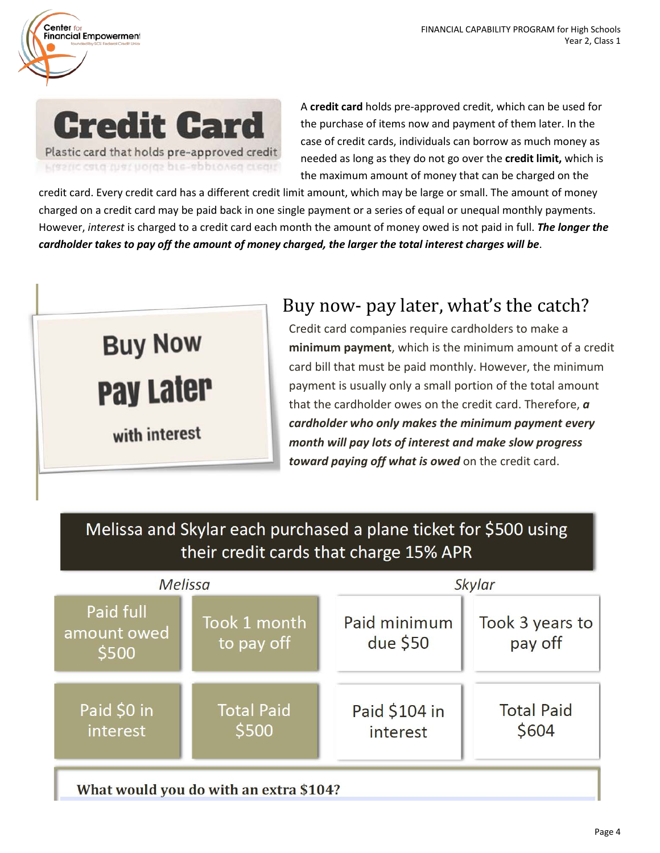

 $Center<sub>fo</sub>$ 

Financial Empowerment

A **credit card** holds pre‐approved credit, which can be used for the purchase of items now and payment of them later. In the case of credit cards, individuals can borrow as much money as needed as long as they do not go over the **credit limit,** which is the maximum amount of money that can be charged on the

credit card. Every credit card has a different credit limit amount, which may be large or small. The amount of money charged on a credit card may be paid back in one single payment or a series of equal or unequal monthly payments. However, *interest* is charged to a credit card each month the amount of money owed is not paid in full. *The longer the cardholder takes to pay off the amount of money charged, the larger the total interest charges will be*.

# **Buy Now Pay Later** with interest

# Buy now‐ pay later, what's the catch?

Credit card companies require cardholders to make a **minimum payment**, which is the minimum amount of a credit card bill that must be paid monthly. However, the minimum payment is usually only a small portion of the total amount that the cardholder owes on the credit card. Therefore, *a cardholder who only makes the minimum payment every month will pay lots of interest and make slow progress toward paying off what is owed* on the credit card.

Melissa and Skylar each purchased a plane ticket for \$500 using their credit cards that charge 15% APR